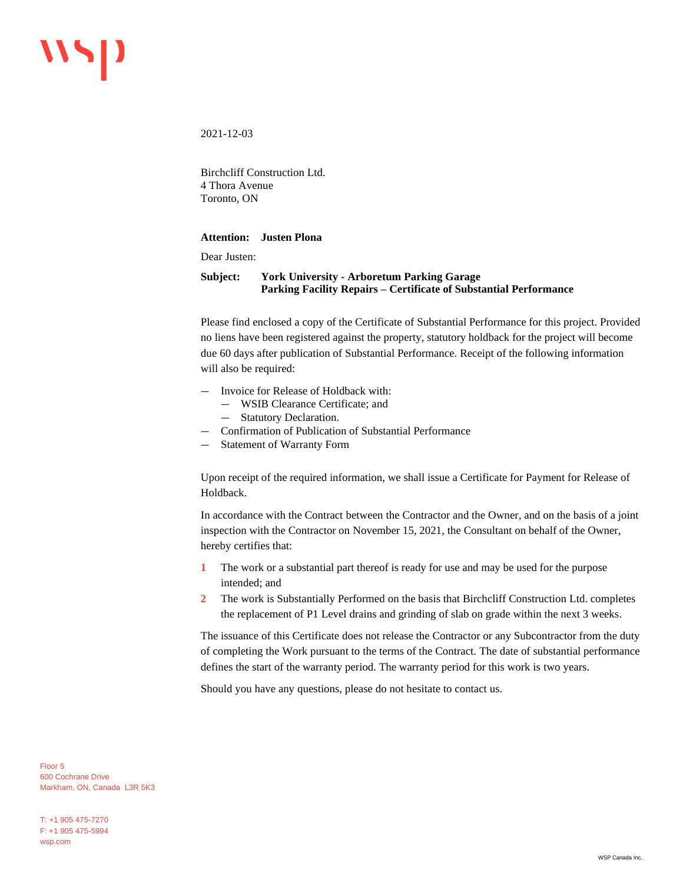2021-12-03

Birchcliff Construction Ltd. 4 Thora Avenue Toronto, ON

## **Attention: Justen Plona**

Dear Justen:

## **Subject: York University - Arboretum Parking Garage Parking Facility Repairs – Certificate of Substantial Performance**

Please find enclosed a copy of the Certificate of Substantial Performance for this project. Provided no liens have been registered against the property, statutory holdback for the project will become due 60 days after publication of Substantial Performance. Receipt of the following information will also be required:

- Invoice for Release of Holdback with:
	- WSIB Clearance Certificate; and
	- Statutory Declaration.
- Confirmation of Publication of Substantial Performance
- Statement of Warranty Form

Upon receipt of the required information, we shall issue a Certificate for Payment for Release of Holdback.

In accordance with the Contract between the Contractor and the Owner, and on the basis of a joint inspection with the Contractor on November 15, 2021, the Consultant on behalf of the Owner, hereby certifies that:

- **1** The work or a substantial part thereof is ready for use and may be used for the purpose intended; and
- **2** The work is Substantially Performed on the basis that Birchcliff Construction Ltd. completes the replacement of P1 Level drains and grinding of slab on grade within the next 3 weeks.

The issuance of this Certificate does not release the Contractor or any Subcontractor from the duty of completing the Work pursuant to the terms of the Contract. The date of substantial performance defines the start of the warranty period. The warranty period for this work is two years.

Should you have any questions, please do not hesitate to contact us.

Floor 5 600 Cochrane Drive Markham, ON, Canada L3R 5K3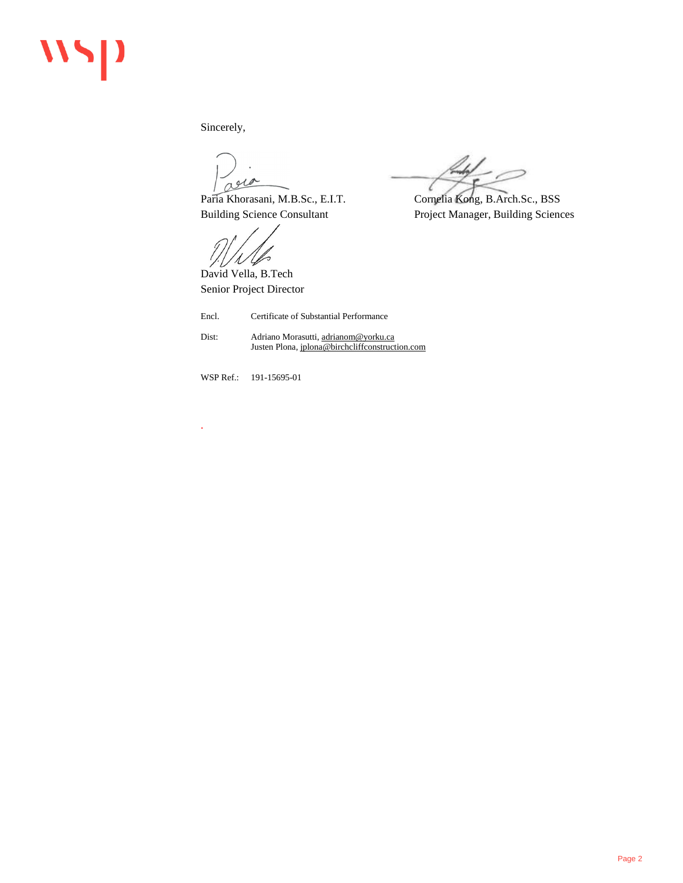## 115

Sincerely,

are

Paria Khorasani, M.B.Sc., E.I.T. Cornelia Kong, B.Arch.Sc., BSS Building Science Consultant Project Manager, Building Sciences

David Vella, B.Tech Senior Project Director

Encl. Certificate of Substantial Performance

Dist: Adriano Morasutti[, adrianom@yorku.ca](mailto:adrianom@yorku.ca) Justen Plona[, jplona@birchcliffconstruction.com](mailto:jplona@birchcliffconstruction.com)

WSP Ref.: 191-15695-01

.